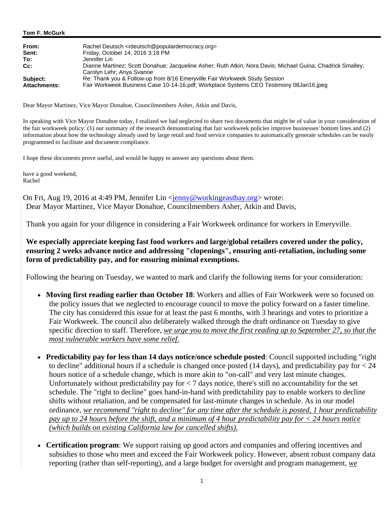#### **Tom F. McGurk**

| From:               | Rachel Deutsch <rdeutsch@populardemocracy.org></rdeutsch@populardemocracy.org>                                                          |
|---------------------|-----------------------------------------------------------------------------------------------------------------------------------------|
| Sent:               | Friday, October 14, 2016 3:18 PM                                                                                                        |
| To:                 | Jennifer Lin                                                                                                                            |
| $Cc$ :              | Dianne Martinez; Scott Donahue; Jacqueline Asher; Ruth Atkin; Nora Davis; Michael Guina; Chadrick Smalley;<br>Carolyn Lehr; Anya Svanoe |
| Subject:            | Re: Thank you & Follow-up from 8/16 Emeryville Fair Workweek Study Session                                                              |
| <b>Attachments:</b> | Fair Workweek Business Case 10-14-16.pdf; Workplace Systems CEO Testimony 08Jan16.jpeq                                                  |

Dear Mayor Martinez, Vice Mayor Donahue, Councilmembers Asher, Atkin and Davis,

In speaking with Vice Mayor Donahue today, I realized we had neglected to share two documents that might be of value in your consideration of the fair workweek policy: (1) our summary of the research demonstrating that fair workweek policies improve businesses' bottom lines and (2) information about how the technology already used by large retail and food service companies to automatically generate schedules can be easily programmed to facilitate and document compliance.

I hope these documents prove useful, and would be happy to answer any questions about them.

have a good weekend, Rachel

On Fri, Aug 19, 2016 at 4:49 PM, Jennifer Lin <jenny@workingeastbay.org> wrote: Dear Mayor Martinez, Vice Mayor Donahue, Councilmembers Asher, Atkin and Davis,

Thank you again for your diligence in considering a Fair Workweek ordinance for workers in Emeryville.

**We especially appreciate keeping fast food workers and large/global retailers covered under the policy, ensuring 2 weeks advance notice and addressing "clopenings", ensuring anti-retaliation, including some form of predictability pay, and for ensuring minimal exemptions.** 

Following the hearing on Tuesday, we wanted to mark and clarify the following items for your consideration:

- **Moving first reading earlier than October 18**: Workers and allies of Fair Workweek were so focused on the policy issues that we neglected to encourage council to move the policy forward on a faster timeline. The city has considered this issue for at least the past 6 months, with 3 hearings and votes to prioritize a Fair Workweek. The council also deliberately walked through the draft ordinance on Tuesday to give specific direction to staff. Therefore, *we urge you to move the first reading up to September 27, so that the most vulnerable workers have some relief.*
- **Predictability pay for less than 14 days notice/once schedule posted**: Council supported including "right to decline" additional hours if a schedule is changed once posted (14 days), and predictability pay for < 24 hours notice of a schedule change, which is more akin to "on-call" and very last minute changes. Unfortunately without predictability pay for < 7 days notice, there's still no accountability for the set schedule. The "right to decline" goes hand-in-hand with predictability pay to enable workers to decline shifts without retaliation, and be compensated for last-minute changes in schedule. As in our model ordinance, *we recommend "right to decline" for any time after the schedule is posted, 1 hour predictability pay up to 24 hours before the shift, and a minimum of 4 hour predictability pay for < 24 hours notice (which builds on existing California law for cancelled shifts).*
- **Certification program**: We support raising up good actors and companies and offering incentives and subsidies to those who meet and exceed the Fair Workweek policy. However, absent robust company data reporting (rather than self-reporting), and a large budget for oversight and program management, *we*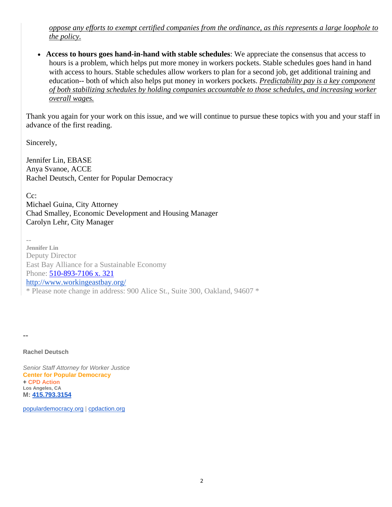*oppose any efforts to exempt certified companies from the ordinance, as this represents a large loophole to the policy.*

 **Access to hours goes hand-in-hand with stable schedules**: We appreciate the consensus that access to hours is a problem, which helps put more money in workers pockets. Stable schedules goes hand in hand with access to hours. Stable schedules allow workers to plan for a second job, get additional training and education-- both of which also helps put money in workers pockets. *Predictability pay is a key component of both stabilizing schedules by holding companies accountable to those schedules, and increasing worker overall wages.*

Thank you again for your work on this issue, and we will continue to pursue these topics with you and your staff in advance of the first reading.

Sincerely,

Jennifer Lin, EBASE Anya Svanoe, ACCE Rachel Deutsch, Center for Popular Democracy

 $Cc$ :

Michael Guina, City Attorney Chad Smalley, Economic Development and Housing Manager Carolyn Lehr, City Manager

 $-$ **Jennifer Lin** Deputy Director East Bay Alliance for a Sustainable Economy Phone: 510-893-7106 x. 321 http://www.workingeastbay.org/ \* Please note change in address: 900 Alice St., Suite 300, Oakland, 94607 \*

 $-$ 

**Rachel Deutsch**

*Senior Staff Attorney for Worker Justice*  **Center for Popular Democracy + CPD Action Los Angeles, CA M: 415.793.3154**

populardemocracy.org | cpdaction.org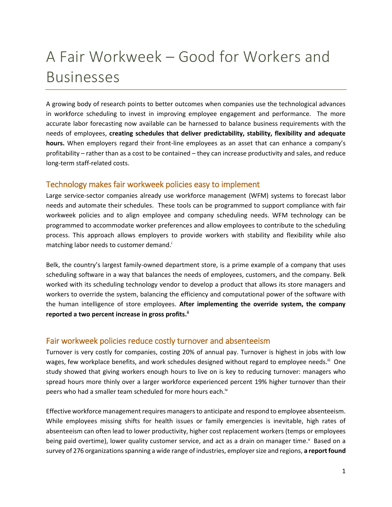### A Fair Workweek – Good for Workers and Businesses

A growing body of research points to better outcomes when companies use the technological advances in workforce scheduling to invest in improving employee engagement and performance. The more accurate labor forecasting now available can be harnessed to balance business requirements with the needs of employees, **creating schedules that deliver predictability, stability, flexibility and adequate hours.** When employers regard their front-line employees as an asset that can enhance a company's profitability – rather than as a cost to be contained – they can increase productivity and sales, and reduce long-term staff-related costs.

#### Technology makes fair workweek policies easy to implement

Large service-sector companies already use workforce management (WFM) systems to forecast labor needs and automate their schedules. These tools can be programmed to support compliance with fair workweek policies and to align employee and company scheduling needs. WFM technology can be programmed to accommodate worker preferences and allow employees to contribute to the scheduling process. This approach allows employers to provide workers with stability and flexibility while also matching labor needs to customer demand.<sup>i</sup>

Belk, the country's largest family-owned department store, is a prime example of a company that uses scheduling software in a way that balances the needs of employees, customers, and the company. Belk worked with its scheduling technology vendor to develop a product that allows its store managers and workers to override the system, balancing the efficiency and computational power of the software with the human intelligence of store employees. **After implementing the override system, the company reported a two percent increase in gross profits.ii**

#### Fair workweek policies reduce costly turnover and absenteeism

Turnover is very costly for companies, costing 20% of annual pay. Turnover is highest in jobs with low wages, few workplace benefits, and work schedules designed without regard to employee needs.<sup>iii</sup> One study showed that giving workers enough hours to live on is key to reducing turnover: managers who spread hours more thinly over a larger workforce experienced percent 19% higher turnover than their peers who had a smaller team scheduled for more hours each.<sup>iv</sup>

Effective workforce management requires managers to anticipate and respond to employee absenteeism. While employees missing shifts for health issues or family emergencies is inevitable, high rates of absenteeism can often lead to lower productivity, higher cost replacement workers (temps or employees being paid overtime), lower quality customer service, and act as a drain on manager time. Eased on a survey of 276 organizations spanning a wide range of industries, employer size and regions, **a report found**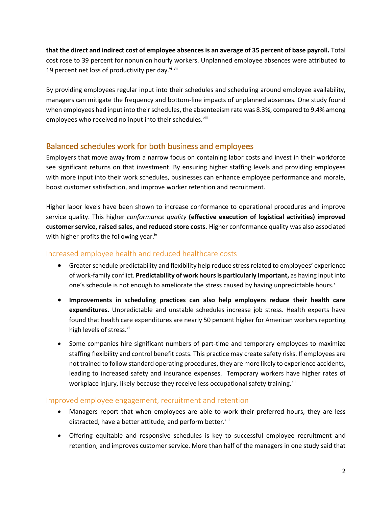**that the direct and indirect cost of employee absences is an average of 35 percent of base payroll.** Total cost rose to 39 percent for nonunion hourly workers. Unplanned employee absences were attributed to 19 percent net loss of productivity per day. $v_i$  vii

By providing employees regular input into their schedules and scheduling around employee availability, managers can mitigate the frequency and bottom-line impacts of unplanned absences. One study found when employees had input into their schedules, the absenteeism rate was 8.3%, compared to 9.4% among employees who received no input into their schedules.<sup>viii</sup>

#### Balanced schedules work for both business and employees

Employers that move away from a narrow focus on containing labor costs and invest in their workforce see significant returns on that investment. By ensuring higher staffing levels and providing employees with more input into their work schedules, businesses can enhance employee performance and morale, boost customer satisfaction, and improve worker retention and recruitment.

Higher labor levels have been shown to increase conformance to operational procedures and improve service quality. This higher *conformance quality* **(effective execution of logistical activities) improved customer service, raised sales, and reduced store costs.** Higher conformance quality was also associated with higher profits the following year.<sup>ix</sup>

#### Increased employee health and reduced healthcare costs

- Greater schedule predictability and flexibility help reduce stress related to employees' experience of work-family conflict. **Predictability of work hours is particularly important,** as having input into one's schedule is not enough to ameliorate the stress caused by having unpredictable hours.<sup>x</sup>
- **Improvements in scheduling practices can also help employers reduce their health care expenditures**. Unpredictable and unstable schedules increase job stress. Health experts have found that health care expenditures are nearly 50 percent higher for American workers reporting high levels of stress.<sup>xi</sup>
- Some companies hire significant numbers of part-time and temporary employees to maximize staffing flexibility and control benefit costs. This practice may create safety risks. If employees are not trained to follow standard operating procedures, they are more likely to experience accidents, leading to increased safety and insurance expenses. Temporary workers have higher rates of workplace injury, likely because they receive less occupational safety training.<sup>xii</sup>

#### Improved employee engagement, recruitment and retention

- Managers report that when employees are able to work their preferred hours, they are less distracted, have a better attitude, and perform better. Xiii
- Offering equitable and responsive schedules is key to successful employee recruitment and retention, and improves customer service. More than half of the managers in one study said that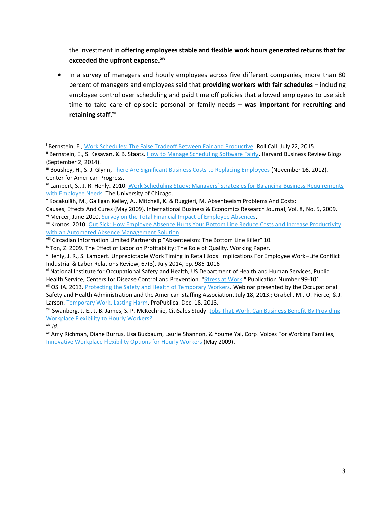the investment in **offering employees stable and flexible work hours generated returns that far exceeded the upfront expense.xiv**

 In a survey of managers and hourly employees across five different companies, more than 80 percent of managers and employees said that **providing workers with fair schedules** – including employee control over scheduling and paid time off policies that allowed employees to use sick time to take care of episodic personal or family needs – **was important for recruiting and retaining staff**. xv

xii OSHA. 2013. [Protecting the Safety and Health of Temporary Workers.](https://www.osha.gov/pls/oshaweb/owadisp.show_document?p_table=%20SPEECHES&p_id=2974) Webinar presented by the Occupational Safety and Health Administration and the American Staffing Association. July 18, 2013.; Grabell, M., O. Pierce, & J. Larso[n. Temporary Work, Lasting Harm.](https://www.propublica.org/article/temporary-work-lasting-harm) ProPublica. Dec. 18, 2013.

xiii Swanberg, J. E., J. B. James, S. P. McKechnie, CitiSales Study: [Jobs That Work, Can Business Benefit By Providing](http://www.uky.edu/Centers/iwin/citisales/_pdfs/IB3-HourlyWorkers.pdf)  [Workplace Flexibility to Hourly Workers?](http://www.uky.edu/Centers/iwin/citisales/_pdfs/IB3-HourlyWorkers.pdf)

 $\overline{\phantom{a}}$ 

<sup>&</sup>lt;sup>i</sup> Bernstein, E.[, Work Schedules: The False Tradeoff Between Fair and Productive.](http://blogs.rollcall.com/beltway-insiders/work-schedules-the-false-tradeoff-between-fair-and-productive-commentary/) Roll Call. July 22, 2015.

<sup>&</sup>lt;sup>ii</sup> Bernstein, E., S. Kesavan, & B. Staats[. How to Manage Scheduling Software Fairly.](https://hbr.org/2014/09/how-to-manage-scheduling-software-fairly) Harvard Business Review Blogs (September 2, 2014).

iii Boushey, H., S. J. Glynn, [There Are Significant Business Costs to Replacing Employees](https://cdn.americanprogress.org/wp-content/uploads/2012/11/CostofTurnover.pdf) (November 16, 2012). Center for American Progress.

<sup>&</sup>lt;sup>iv</sup> Lambert, S., J. R. Henly. 2010. Work Scheduling Study: Managers' Strategies for Balancing Business Requirements [with Employee Needs.](https://ssascholars.uchicago.edu/sites/default/files/work-scheduling-study/files/univ_of_chicago_work_scheduling_manager_report_6_25_0.pdf) The University of Chicago.

<sup>v</sup> Kocakülâh, M., Galligan Kelley, A., Mitchell, K. & Ruggieri, M. Absenteeism Problems And Costs:

Causes, Effects And Cures (May 2009). International Business & Economics Research Journal, Vol. 8, No. 5, 2009. vi Mercer, June 2010. [Survey on the Total Financial Impact of Employee Absences.](http://www.kronos.com/pr/unplanned-absence-costs-organizations-over-8-percent-of-payroll.aspx)

vii Kronos, 2010. Out Sick: How Employee Absence Hurts Your Bottom Line Reduce Costs and Increase Productivity [with an Automated Absence Management Solution.](http://www.kronos.com/ads/absence/38/Kronos_absence_out_sick.pdf)

viii Circadian Information Limited Partnership "Absenteeism: The Bottom Line Killer" 10.

 $\overline{a}$  Ton, Z. 2009. The Effect of Labor on Profitability: The Role of Quality. Working Paper.

<sup>x</sup> Henly, J. R., S. Lambert. Unpredictable Work Timing in Retail Jobs: Implications For Employee Work–Life Conflict Industrial & Labor Relations Review, 67(3), July 2014, pp. 986-1016

xi National Institute for Occupational Safety and Health, US Department of Health and Human Services, Public Health Service, Centers for Disease Control and Prevention. ["Stress at Work."](http://www.cdc.gov/niosh/stresswk.html.) Publication Number 99-101.

 $x^{\text{iv}}$  *Id.* 

xv Amy Richman, Diane Burrus, Lisa Buxbaum, Laurie Shannon, & Youme Yai, Corp. Voices For Working Families, [Innovative Workplace Flexibility Options for Hourly Workers](http://www.wfd.com/PDFS/Innovative_Workplace_Flexibility_%20Options_for_Hourly_Workers.pdf) (May 2009).